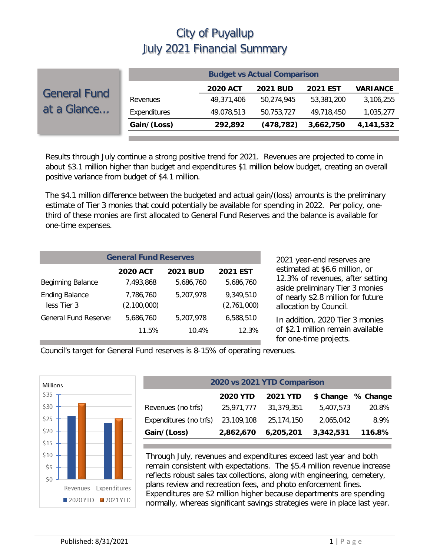|                                    |              |                 | <b>Budget vs Actual Comparison</b> |                 |                 |
|------------------------------------|--------------|-----------------|------------------------------------|-----------------|-----------------|
| <b>General Fund</b><br>at a Glance |              | <b>2020 ACT</b> | <b>2021 BUD</b>                    | <b>2021 EST</b> | <b>VARIANCE</b> |
|                                    | Revenues     | 49,371,406      | 50,274,945                         | 53,381,200      | 3,106,255       |
|                                    | Expenditures | 49,078,513      | 50,753,727                         | 49,718,450      | 1,035,277       |
|                                    | Gain/(Loss)  | 292,892         | (478, 782)                         | 3,662,750       | 4,141,532       |
|                                    |              |                 |                                    |                 |                 |

Results through July continue a strong positive trend for 2021. Revenues are projected to come in about \$3.1 million higher than budget and expenditures \$1 million below budget, creating an overall positive variance from budget of \$4.1 million.

The \$4.1 million difference between the budgeted and actual gain/(loss) amounts is the preliminary estimate of Tier 3 monies that could potentially be available for spending in 2022. Per policy, onethird of these monies are first allocated to General Fund Reserves and the balance is available for one-time expenses.

| <b>General Fund Reserves</b>         |                                                       |           |                          |  |  |  |  |  |  |
|--------------------------------------|-------------------------------------------------------|-----------|--------------------------|--|--|--|--|--|--|
|                                      | <b>2020 ACT</b><br><b>2021 EST</b><br><b>2021 BUD</b> |           |                          |  |  |  |  |  |  |
| <b>Beginning Balance</b>             | 7.493.868                                             | 5,686,760 | 5,686,760                |  |  |  |  |  |  |
| <b>Ending Balance</b><br>less Tier 3 | 7,786,760<br>(2,100,000)                              | 5,207,978 | 9,349,510<br>(2,761,000) |  |  |  |  |  |  |
| <b>General Fund Reserve:</b>         | 5,686,760                                             | 5,207,978 | 6,588,510                |  |  |  |  |  |  |
|                                      | 11.5%                                                 | 10.4%     | 12.3%                    |  |  |  |  |  |  |

2021 year-end reserves are estimated at \$6.6 million, or 12.3% of revenues, after setting aside preliminary Tier 3 monies of nearly \$2.8 million for future allocation by Council.

In addition, 2020 Tier 3 monies of \$2.1 million remain available for one-time projects.

Council's target for General Fund reserves is 8-15% of operating revenues.



| 2020 vs 2021 YTD Comparison                              |            |            |           |        |  |  |  |
|----------------------------------------------------------|------------|------------|-----------|--------|--|--|--|
| <b>2020 YTD</b><br>\$ Change % Change<br><b>2021 YTD</b> |            |            |           |        |  |  |  |
| Revenues (no trfs)                                       | 25,971,777 | 31,379,351 | 5,407,573 | 20.8%  |  |  |  |
| Expenditures (no trfs)                                   | 23,109,108 | 25,174,150 | 2,065,042 | 8.9%   |  |  |  |
| Gain/(Loss)                                              | 2,862,670  | 6,205,201  | 3,342,531 | 116.8% |  |  |  |

Through July, revenues and expenditures exceed last year and both remain consistent with expectations. The \$5.4 million revenue increase reflects robust sales tax collections, along with engineering, cemetery, plans review and recreation fees, and photo enforcement fines. Expenditures are \$2 million higher because departments are spending normally, whereas significant savings strategies were in place last year.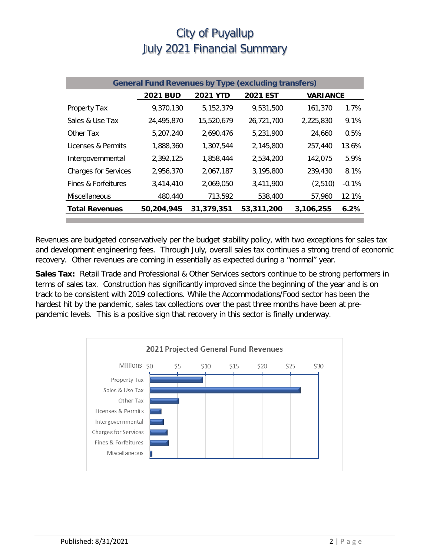| <b>General Fund Revenues by Type (excluding transfers)</b> |                 |                 |                 |                 |         |  |
|------------------------------------------------------------|-----------------|-----------------|-----------------|-----------------|---------|--|
|                                                            | <b>2021 BUD</b> | <b>2021 YTD</b> | <b>2021 EST</b> | <b>VARIANCE</b> |         |  |
| Property Tax                                               | 9,370,130       | 5,152,379       | 9,531,500       | 161,370         | 1.7%    |  |
| Sales & Use Tax                                            | 24,495,870      | 15,520,679      | 26,721,700      | 2,225,830       | 9.1%    |  |
| Other Tax                                                  | 5,207,240       | 2,690,476       | 5,231,900       | 24,660          | 0.5%    |  |
| Licenses & Permits                                         | 1,888,360       | 1,307,544       | 2,145,800       | 257,440         | 13.6%   |  |
| Intergovernmental                                          | 2,392,125       | 1,858,444       | 2,534,200       | 142,075         | 5.9%    |  |
| <b>Charges for Services</b>                                | 2.956.370       | 2,067,187       | 3,195,800       | 239,430         | 8.1%    |  |
| Fines & Forfeitures                                        | 3,414,410       | 2,069,050       | 3,411,900       | (2,510)         | $-0.1%$ |  |
| Miscellaneous                                              | 480,440         | 713,592         | 538,400         | 57,960          | 12.1%   |  |
| <b>Total Revenues</b>                                      | 50,204,945      | 31,379,351      | 53,311,200      | 3,106,255       | 6.2%    |  |

Revenues are budgeted conservatively per the budget stability policy, with two exceptions for sales tax and development engineering fees. Through July, overall sales tax continues a strong trend of economic recovery. Other revenues are coming in essentially as expected during a "normal" year.

**Sales Tax:** Retail Trade and Professional & Other Services sectors continue to be strong performers in terms of sales tax. Construction has significantly improved since the beginning of the year and is on track to be consistent with 2019 collections. While the Accommodations/Food sector has been the hardest hit by the pandemic, sales tax collections over the past three months have been at prepandemic levels. This is a positive sign that recovery in this sector is finally underway.

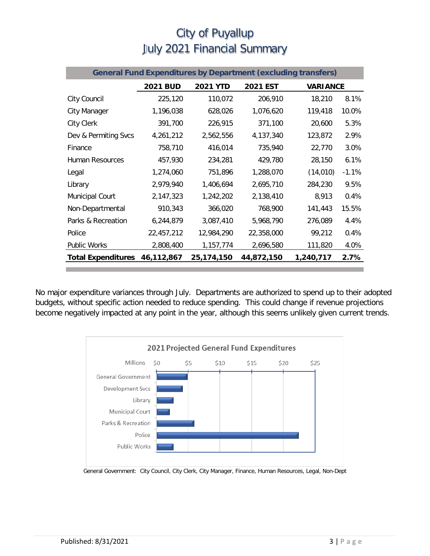| <b>General Fund Expenditures by Department (excluding transfers)</b> |                 |                 |                 |                 |         |
|----------------------------------------------------------------------|-----------------|-----------------|-----------------|-----------------|---------|
|                                                                      | <b>2021 BUD</b> | <b>2021 YTD</b> | <b>2021 EST</b> | <b>VARIANCE</b> |         |
| City Council                                                         | 225,120         | 110,072         | 206,910         | 18,210          | 8.1%    |
| City Manager                                                         | 1,196,038       | 628,026         | 1,076,620       | 119,418         | 10.0%   |
| City Clerk                                                           | 391,700         | 226,915         | 371,100         | 20,600          | 5.3%    |
| Dev & Permiting Svcs                                                 | 4,261,212       | 2,562,556       | 4,137,340       | 123,872         | 2.9%    |
| Finance                                                              | 758,710         | 416,014         | 735,940         | 22,770          | 3.0%    |
| Human Resources                                                      | 457,930         | 234,281         | 429,780         | 28,150          | 6.1%    |
| Legal                                                                | 1,274,060       | 751,896         | 1,288,070       | (14, 010)       | $-1.1%$ |
| Library                                                              | 2,979,940       | 1,406,694       | 2,695,710       | 284,230         | 9.5%    |
| <b>Municipal Court</b>                                               | 2,147,323       | 1,242,202       | 2,138,410       | 8,913           | 0.4%    |
| Non-Departmental                                                     | 910,343         | 366,020         | 768,900         | 141,443         | 15.5%   |
| Parks & Recreation                                                   | 6,244,879       | 3,087,410       | 5,968,790       | 276,089         | 4.4%    |
| Police                                                               | 22,457,212      | 12,984,290      | 22,358,000      | 99,212          | 0.4%    |
| <b>Public Works</b>                                                  | 2,808,400       | 1,157,774       | 2,696,580       | 111,820         | 4.0%    |
| <b>Total Expenditures</b>                                            | 46,112,867      | 25,174,150      | 44,872,150      | 1,240,717       | 2.7%    |

No major expenditure variances through July. Departments are authorized to spend up to their adopted budgets, without specific action needed to reduce spending. This could change if revenue projections become negatively impacted at any point in the year, although this seems unlikely given current trends.



General Government: City Council, City Clerk, City Manager, Finance, Human Resources, Legal, Non-Dept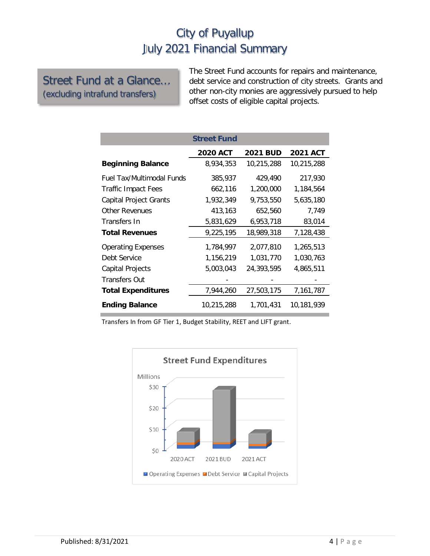#### Street Fund at a Glance… (excluding intrafund transfers)

The Street Fund accounts for repairs and maintenance, debt service and construction of city streets. Grants and other non-city monies are aggressively pursued to help offset costs of eligible capital projects.

|                            | <b>Street Fund</b> |                 |                 |
|----------------------------|--------------------|-----------------|-----------------|
|                            | <b>2020 ACT</b>    | <b>2021 BUD</b> | <b>2021 ACT</b> |
| <b>Beginning Balance</b>   | 8,934,353          | 10,215,288      | 10,215,288      |
| Fuel Tax/Multimodal Funds  | 385,937            | 429,490         | 217,930         |
| <b>Traffic Impact Fees</b> | 662,116            | 1,200,000       | 1,184,564       |
| Capital Project Grants     | 1,932,349          | 9,753,550       | 5,635,180       |
| <b>Other Revenues</b>      | 413,163            | 652,560         | 7.749           |
| Transfers In               | 5,831,629          | 6,953,718       | 83,014          |
| <b>Total Revenues</b>      | 9,225,195          | 18,989,318      | 7,128,438       |
| <b>Operating Expenses</b>  | 1,784,997          | 2,077,810       | 1,265,513       |
| Debt Service               | 1,156,219          | 1,031,770       | 1,030,763       |
| Capital Projects           | 5,003,043          | 24,393,595      | 4,865,511       |
| <b>Transfers Out</b>       |                    |                 |                 |
| <b>Total Expenditures</b>  | 7,944,260          | 27,503,175      | 7,161,787       |
| <b>Ending Balance</b>      | 10,215,288         | 1,701,431       | 10,181,939      |

Transfers In from GF Tier 1, Budget Stability, REET and LIFT grant.

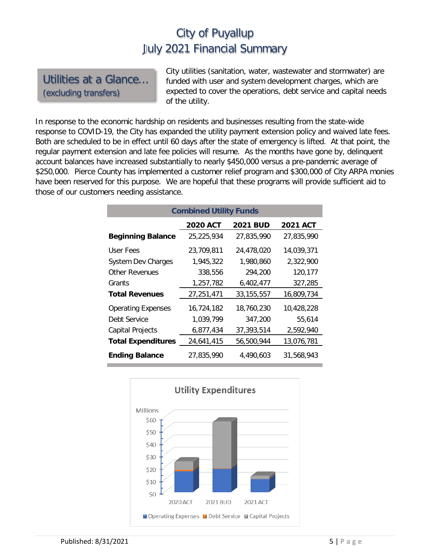Utilities at a Glance… (excluding transfers)

City utilities (sanitation, water, wastewater and stormwater) are funded with user and system development charges, which are expected to cover the operations, debt service and capital needs of the utility.

In response to the economic hardship on residents and businesses resulting from the state-wide response to COVID-19, the City has expanded the utility payment extension policy and waived late fees. Both are scheduled to be in effect until 60 days after the state of emergency is lifted. At that point, the regular payment extension and late fee policies will resume. As the months have gone by, delinquent account balances have increased substantially to nearly \$450,000 versus a pre-pandemic average of \$250,000. Pierce County has implemented a customer relief program and \$300,000 of City ARPA monies have been reserved for this purpose. We are hopeful that these programs will provide sufficient aid to those of our customers needing assistance.

| <b>Combined Utility Funds</b> |                 |                 |                 |  |  |  |  |
|-------------------------------|-----------------|-----------------|-----------------|--|--|--|--|
|                               | <b>2020 ACT</b> | <b>2021 BUD</b> | <b>2021 ACT</b> |  |  |  |  |
| <b>Beginning Balance</b>      | 25,225,934      | 27.835.990      | 27,835,990      |  |  |  |  |
| User Fees                     | 23,709,811      | 24,478,020      | 14,039,371      |  |  |  |  |
| <b>System Dev Charges</b>     | 1,945,322       | 1,980,860       | 2,322,900       |  |  |  |  |
| Other Revenues                | 338,556         | 294,200         | 120,177         |  |  |  |  |
| Grants                        | 1,257,782       | 6,402,477       | 327,285         |  |  |  |  |
| <b>Total Revenues</b>         | 27,251,471      | 33, 155, 557    | 16,809,734      |  |  |  |  |
| <b>Operating Expenses</b>     | 16,724,182      | 18,760,230      | 10,428,228      |  |  |  |  |
| Debt Service                  | 1,039,799       | 347,200         | 55,614          |  |  |  |  |
| <b>Capital Projects</b>       | 6,877,434       | 37,393,514      | 2,592,940       |  |  |  |  |
| <b>Total Expenditures</b>     | 24,641,415      | 56,500,944      | 13,076,781      |  |  |  |  |
| <b>Ending Balance</b>         | 27.835.990      | 4.490.603       | 31.568.943      |  |  |  |  |

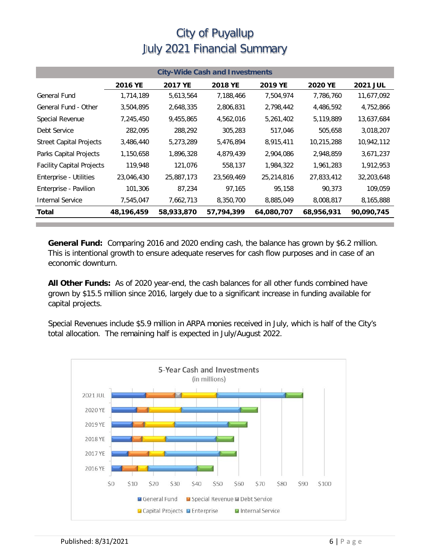| <b>City-Wide Cash and Investments</b> |            |            |            |            |                |                 |  |
|---------------------------------------|------------|------------|------------|------------|----------------|-----------------|--|
|                                       | 2016 YE    | 2017 YE    | 2018 YE    | 2019 YE    | <b>2020 YE</b> | <b>2021 JUL</b> |  |
| General Fund                          | 1,714,189  | 5,613,564  | 7,188,466  | 7,504,974  | 7,786,760      | 11,677,092      |  |
| General Fund - Other                  | 3,504,895  | 2,648,335  | 2,806,831  | 2,798,442  | 4,486,592      | 4,752,866       |  |
| Special Revenue                       | 7,245,450  | 9,455,865  | 4,562,016  | 5,261,402  | 5,119,889      | 13,637,684      |  |
| Debt Service                          | 282,095    | 288,292    | 305,283    | 517,046    | 505,658        | 3,018,207       |  |
| <b>Street Capital Projects</b>        | 3,486,440  | 5,273,289  | 5,476,894  | 8,915,411  | 10,215,288     | 10,942,112      |  |
| Parks Capital Projects                | 1,150,658  | 1,896,328  | 4,879,439  | 2,904,086  | 2,948,859      | 3,671,237       |  |
| <b>Facility Capital Projects</b>      | 119,948    | 121,076    | 558,137    | 1,984,322  | 1,961,283      | 1,912,953       |  |
| Enterprise - Utilities                | 23,046,430 | 25,887,173 | 23,569,469 | 25,214,816 | 27,833,412     | 32,203,648      |  |
| Enterprise - Pavilion                 | 101,306    | 87,234     | 97,165     | 95,158     | 90,373         | 109,059         |  |
| <b>Internal Service</b>               | 7,545,047  | 7,662,713  | 8,350,700  | 8,885,049  | 8,008,817      | 8,165,888       |  |
| Total                                 | 48,196,459 | 58,933,870 | 57,794,399 | 64,080,707 | 68,956,931     | 90,090,745      |  |

**General Fund:** Comparing 2016 and 2020 ending cash, the balance has grown by \$6.2 million. This is intentional growth to ensure adequate reserves for cash flow purposes and in case of an economic downturn.

**All Other Funds:** As of 2020 year-end, the cash balances for all other funds combined have grown by \$15.5 million since 2016, largely due to a significant increase in funding available for capital projects.

Special Revenues include \$5.9 million in ARPA monies received in July, which is half of the City's total allocation. The remaining half is expected in July/August 2022.